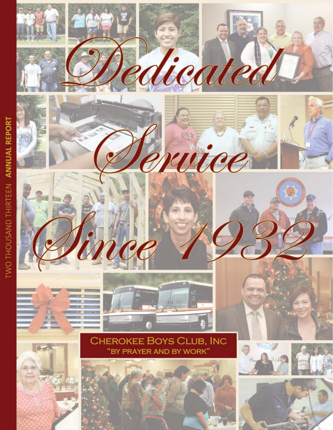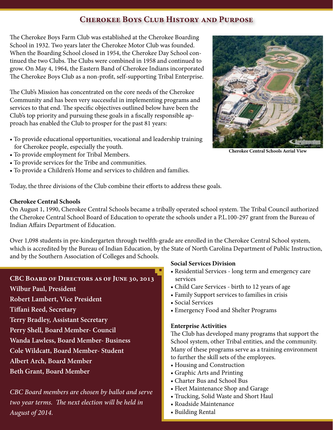# **Cherokee Boys Club History and Purpose**

The Cherokee Boys Farm Club was established at the Cherokee Boarding School in 1932. Two years later the Cherokee Motor Club was founded. When the Boarding School closed in 1954, the Cherokee Day School continued the two Clubs. The Clubs were combined in 1958 and continued to grow. On May 4, 1964, the Eastern Band of Cherokee Indians incorporated The Cherokee Boys Club as a non-profit, self-supporting Tribal Enterprise.

The Club's Mission has concentrated on the core needs of the Cherokee Community and has been very successful in implementing programs and services to that end. The specific objectives outlined below have been the Club's top priority and pursuing these goals in a fiscally responsible approach has enabled the Club to prosper for the past 81 years:

- To provide educational opportunities, vocational and leadership training for Cherokee people, especially the youth.
- To provide employment for Tribal Members.
- To provide services for the Tribe and communities.
- To provide a Children's Home and services to children and families.



**Cherokee Central Schools Aerial View**

Today, the three divisions of the Club combine their efforts to address these goals.

#### **Cherokee Central Schools**

On August 1, 1990, Cherokee Central Schools became a tribally operated school system. The Tribal Council authorized the Cherokee Central School Board of Education to operate the schools under a P.L.100-297 grant from the Bureau of Indian Affairs Department of Education.

Over 1,098 students in pre-kindergarten through twelfth-grade are enrolled in the Cherokee Central School system, which is accredited by the Bureau of Indian Education, by the State of North Carolina Department of Public Instruction, and by the Southern Association of Colleges and Schools.

## **CBC Board of Directors as of June 30, 2013**

**Wilbur Paul, President**

**Robert Lambert, Vice President**

**Tiffani Reed, Secretary**

**Terry Bradley, Assistant Secretary**

- **Perry Shell, Board Member- Council**
- **Wanda Lawless, Board Member- Business**

**Cole Wildcatt, Board Member- Student**

**Albert Arch, Board Member**

**Beth Grant, Board Member**

*CBC Board members are chosen by ballot and serve two year terms. The next election will be held in August of 2014.*

## **Social Services Division**

- Residential Services long term and emergency care services
- Child Care Services birth to 12 years of age
- Family Support services to families in crisis
- Social Services
- Emergency Food and Shelter Programs

## **Enterprise Activities**

The Club has developed many programs that support the School system, other Tribal entities, and the community. Many of these programs serve as a training environment to further the skill sets of the employees.

- Housing and Construction
- Graphic Arts and Printing
- Charter Bus and School Bus
- Fleet Maintenance Shop and Garage
- Trucking, Solid Waste and Short Haul
- Roadside Maintenance
- Building Rental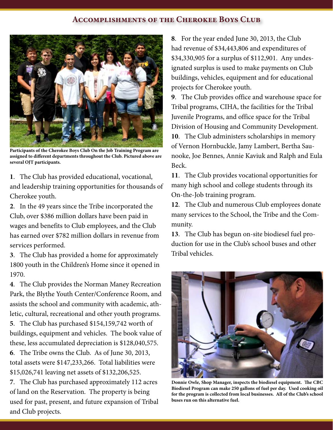#### **Accomplishments of the Cherokee Boys Club**



**Participants of the Cherokee Boys Club On the Job Training Program are assigned to different departments throughout the Club. Pictured above are several OJT participants.** 

**1**. The Club has provided educational, vocational, and leadership training opportunities for thousands of Cherokee youth.

**2**. In the 49 years since the Tribe incorporated the Club, over \$386 million dollars have been paid in wages and benefits to Club employees, and the Club has earned over \$782 million dollars in revenue from services performed.

**3**. The Club has provided a home for approximately 1800 youth in the Children's Home since it opened in 1970.

**4**. The Club provides the Norman Maney Recreation Park, the Blythe Youth Center/Conference Room, and assists the school and community with academic, athletic, cultural, recreational and other youth programs.

**5**. The Club has purchased \$154,159,742 worth of buildings, equipment and vehicles. The book value of these, less accumulated depreciation is \$128,040,575.

**6**. The Tribe owns the Club. As of June 30, 2013, total assets were \$147,233,266. Total liabilities were \$15,026,741 leaving net assets of \$132,206,525.

**7**. The Club has purchased approximately 112 acres of land on the Reservation. The property is being used for past, present, and future expansion of Tribal and Club projects.

**8**. For the year ended June 30, 2013, the Club had revenue of \$34,443,806 and expenditures of \$34,330,905 for a surplus of \$112,901. Any undesignated surplus is used to make payments on Club buildings, vehicles, equipment and for educational projects for Cherokee youth.

**9**. The Club provides office and warehouse space for Tribal programs, CIHA, the facilities for the Tribal Juvenile Programs, and office space for the Tribal Division of Housing and Community Development. **10**. The Club administers scholarships in memory of Vernon Hornbuckle, Jamy Lambert, Bertha Saunooke, Joe Bennes, Annie Kaviuk and Ralph and Eula Beck.

**11**. The Club provides vocational opportunities for many high school and college students through its On-the-Job training program.

**12**. The Club and numerous Club employees donate many services to the School, the Tribe and the Community.

**13**. The Club has begun on-site biodiesel fuel production for use in the Club's school buses and other Tribal vehicles.



**Donnie Owle, Shop Manager, inspects the biodiesel equipment. The CBC Biodiesel Program can make 250 gallons of fuel per day. Used cooking oil for the program is collected from local businesses. All of the Club's school buses run on this alternative fuel.**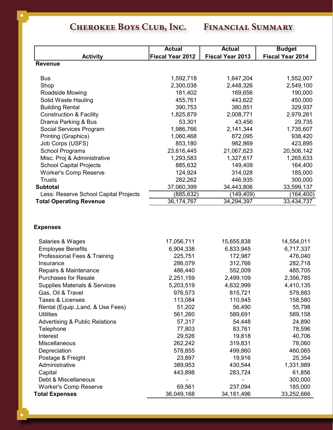# **Cherokee Boys Club, Inc. Financial Summary**

|                                                              | <b>Actual</b>           | <b>Actual</b>           | <b>Budget</b>           |
|--------------------------------------------------------------|-------------------------|-------------------------|-------------------------|
| <b>Activity</b>                                              | <b>Fiscal Year 2012</b> | <b>Fiscal Year 2013</b> | <b>Fiscal Year 2014</b> |
| <b>Revenue</b>                                               |                         |                         |                         |
|                                                              |                         |                         |                         |
| <b>Bus</b><br>Shop                                           | 1,592,718               | 1,647,204               | 1,552,007               |
|                                                              | 2,300,038<br>181,402    | 2,448,326<br>169,656    | 2,549,100<br>190,000    |
| Roadside Mowing                                              |                         |                         |                         |
| Solid Waste Hauling                                          | 455,761<br>390,753      | 443,622<br>380,851      | 450,000<br>329,937      |
| <b>Building Rental</b><br><b>Construction &amp; Facility</b> | 1,825,879               | 2,008,771               | 2,979,261               |
| Drama Parking & Bus                                          | 53,301                  | 43,456                  | 29,735                  |
| Social Services Program                                      | 1,986,766               | 2,141,344               | 1,735,607               |
| <b>Printing (Graphics)</b>                                   | 1,060,468               | 872,095                 | 938,420                 |
| Job Corps (USFS)                                             | 853,180                 | 982,869                 | 423,895                 |
| <b>School Programs</b>                                       | 23,616,445              | 21,067,623              | 20,506,142              |
| Misc. Proj & Administrative                                  | 1,293,583               | 1,327,617               | 1,265,633               |
| <b>School Capital Projects</b>                               | 885,632                 | 149,409                 | 164,400                 |
| <b>Worker's Comp Reserve</b>                                 | 124,924                 | 314,028                 | 185,000                 |
| <b>Trusts</b>                                                | 282,262                 | 446,935                 | 300,000                 |
| <b>Subtotal</b>                                              | 37,060,399              | 34,443,806              | 33,599,137              |
| Less: Reserve School Capital Projects                        | (885, 632)              | (149, 409)              | (164, 400)              |
| <b>Total Operating Revenue</b>                               | 36,174,767              | 34,294,397              | 33,434,737              |
| <b>Expenses</b>                                              |                         |                         |                         |
| Salaries & Wages                                             | 17,056,711              | 15,655,838              | 14,554,011              |
| <b>Employee Benefits</b>                                     | 6,904,338               | 6,833,945               | 6,717,337               |
| Professional Fees & Training                                 | 225,751                 | 172,987                 | 476,040                 |
| Insurance                                                    | 286,079                 | 312,766                 | 282,718                 |
| Repairs & Maintenance                                        | 486,440                 | 552,009                 | 485,705                 |
| <b>Purchases for Resale</b>                                  | 2,251,159               | 2,499,109               | 2,356,785               |
| <b>Supplies Materials &amp; Services</b>                     | 5,203,519               | 4,632,999               | 4,410,135               |
| Gas, Oil & Travel                                            | 976,573                 | 815,721                 | 579,883                 |
| Taxes & Licenses                                             | 113,084                 | 110,945                 | 158,580                 |
| Rental (Equip., Land, & Use Fees)                            | 51,202                  | 56,490                  | 55,798                  |
| <b>Utilities</b>                                             | 561,260                 | 589,691                 | 589,158                 |
| <b>Advertising &amp; Public Relations</b>                    | 57,317                  | 54,448                  | 24,890                  |
| Telephone                                                    | 77,803                  | 83,761                  | 78,596                  |
| Interest                                                     | 29,526                  | 19,818                  | 40,706                  |
| Miscellaneous                                                | 262,242                 | 319,831                 | 78,060                  |
| Depreciation                                                 | 578,855                 | 499,860                 | 460,065                 |
| Postage & Freight                                            | 23,897                  | 19,916                  | 25,354                  |
| Administrative                                               | 389,953                 | 430,544                 | 1,331,989               |
| Capital                                                      | 443,898                 | 283,724                 | 61,856                  |
| Debt & Miscellaneous                                         |                         |                         | 300,000                 |
| <b>Worker's Comp Reserve</b>                                 | 69,561                  | 237,094                 | 185,000                 |
| <b>Total Expenses</b>                                        | 36,049,168              | 34, 181, 496            | 33,252,666              |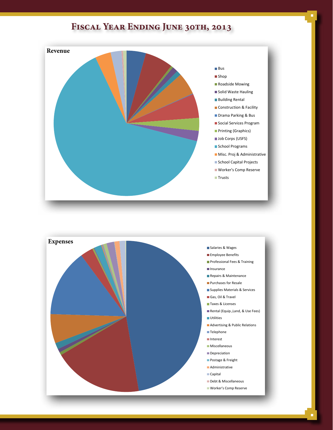# **Fiscal Year Ending June 30th, 2013**



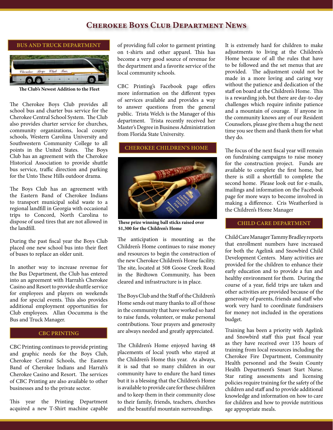## **Cherokee Boys Club Department News**



**The Club's Newest Addition to the Fleet**

The Cherokee Boys Club provides all school bus and charter bus service for the Cherokee Central School System. The Club also provides charter service for churches, community organizations, local county schools, Western Carolina University and Southwestern Community College to all points in the United States. The Boys Club has an agreement with the Cherokee Historical Association to provide shuttle bus service, traffic direction and parking for the Unto These Hills outdoor drama.

The Boys Club has an agreement with the Eastern Band of Cherokee Indians to transport municipal solid waste to a regional landfill in Georgia with occasional trips to Concord, North Carolina to dispose of used tires that are not allowed in the landfill.

During the past fiscal year the Boys Club placed one new school bus into their fleet of buses to replace an older unit.

In another way to increase revenue for the Bus Department, the Club has entered into an agreement with Harrah's Cherokee Casino and Resort to provide shuttle service for employees and players on weekends and for special events. This also provides additional employment opportunities for Club employees. Allan Oocumma is the Bus and Truck Manager.

#### **CBC PRINTING**

CBC Printing continues to provide printing and graphic needs for the Boys Club, Cherokee Central Schools, the Eastern Band of Cherokee Indians and Harrah's Cherokee Casino and Resort. The services of CBC Printing are also available to other businesses and to the private sector.

This year the Printing Department acquired a new T-Shirt machine capable

of providing full color to garment printing on t-shirts and other apparel. This has become a very good source of revenue for the department and a favorite service of the local community schools.

CBC Printing's Facebook page offers more information on the different types of services available and provides a way to answer questions from the general public. Trista Welch is the Manager of this department. Trista recently received her Master's Degree in Business Administration from Florida State University.

#### **CHEROKEE CHILDREN'S HOME**



**These prize winning ball sticks raised over \$1,300 for the Children's Home**

The anticipation is mounting as the Children's Home continues to raise money and resources to begin the construction of the new Cherokee Children's Home facility. The site, located at 508 Goose Creek Road in the Birdtown Community, has been cleared and infrastructure is in place.

The Boys Club and the Staff of the Children's Home sends out many thanks to all of those in the community that have worked so hard to raise funds, volunteer, or make personal contributions. Your prayers and generosity are always needed and greatly appreciated.

The Children's Home enjoyed having 48 placements of local youth who stayed at the Children's Home this year. As always, it is sad that so many children in our community have to endure the hard times but it is a blessing that the Children's Home is available to provide care for these children and to keep them in their community close to their family, friends, teachers, churches and the beautiful mountain surroundings.

It is extremely hard for children to make adjustments to living at the Children's Home because of all the rules that have to be followed and the set menus that are provided. The adjustment could not be made in a more loving and caring way without the patience and dedication of the staff on board at the Children's Home. This is a rewarding job, but there are day-to-day challenges which require infinite patience and a mountain of courage. If anyone in the community knows any of our Resident Counselors, please give them a hug the next time you see them and thank them for what they do.

The focus of the next fiscal year will remain on fundraising campaigns to raise money for the construction project. Funds are available to complete the first home, but there is still a shortfall to complete the second home. Please look out for e-mails, mailings and information on the Facebook page for more ways to become involved in making a difference. Cris Weatherford is the Children's Home Manager

#### **CHILD CARE DEPARTMENT**

Child Care Manager Tammy Bradley reports that enrollment numbers have increased for both the Agelink and Snowbird Child Development Centers. Many activities are provided for the children to enhance their early education and to provide a fun and healthy environment for them. During the course of a year, field trips are taken and other activities are provided because of the generosity of parents, friends and staff who work very hard to coordinate fundraisers for money not included in the operations budget.

Training has been a priority with Agelink and Snowbird staff this past fiscal year as they have received over 135 hours of training from local resources including the Cherokee Fire Department, Community Health personnel and the Swain County Health Department's Smart Start Nurse. Star rating assessments and licensing policies require training for the safety of the children and staff and to provide additional knowledge and information on how to care for children and how to provide nutritious age appropriate meals.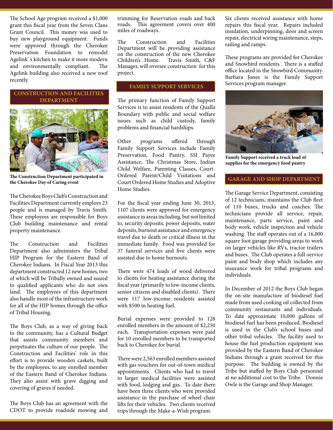The School Age program received a \$1,000 grant this fiscal year from the Seven Clans Grant Council. This money was used to buy new playground equipment. Funds were approved through the Cherokee Preservation Foundation to remodel Agelink' s kitchen to make it more modern and environmentally compliant. The Agelink building also received a new roof recently.

#### **CONSTRUCTION AND FACILITIES DEPARTMENT**



**The Construction Department participated in the Cherokee Day of Caring event**

The Cherokee Boys Club's Construction and Facilities Department currently employs 23 people and is managed by Travis Smith. These employees are responsible for Boys Club building maintenance and rental property maintenance.

The Construction and Facilities Department also administers the Tribal HIP Program for the Eastern Band of Cherokee Indians. In Fiscal Year 2013 this department constructed 12 new homes, two of which will be Tribally owned and issued to qualified applicants who do not own land. The employees of this department also handle most of the infrastructure work for all of the HIP homes through the office of Tribal Housing.

The Boys Club, as a way of giving back to the community, has a Cultural Budget that assists community members and perpetuates the culture of our people. The Construction and Facilities' role in this effort is to provide wooden caskets, built by the employees, to any enrolled member of the Eastern Band of Cherokee Indians. They also assist with grave digging and covering of graves if needed.

The Boys Club has an agreement with the CDOT to provide roadside mowing and

trimming for Reservation roads and back roads. This agreement covers over 400 miles of roadways.

The Construction and Facilities Department will be providing assistance on the construction of the new Cherokee<br>Children's Home. Travis Smith, C&F Travis Smith, C&F Manager, will oversee construction for this project.

#### **FAMILY SUPPORT SERVICES**

The primary function of Family Support Services is to assist residents of the Qualla Boundary with public and social welfare issues such as child custody, family problems and financial hardships.

Other programs offered through Family Support Services include Family Preservation, Food Pantry, SSI Payee Assistance, The Christmas Store, Indian Child Welfare, Parenting Classes, Court-Ordered Parent/Child Visitations and Court Ordered Home Studies and Adoptive Home Studies.

For the fiscal year ending June 30, 2013, 1107 clients were approved for emergency assistance in areas including, but not limited to, security deposits, power deposits, water deposits, burnout assistance and emergency travel due to death or critical illness in the immediate family. Food was provided for 37 funeral services and five clients were assisted due to home burnouts.

There were 474 loads of wood delivered to clients for heating assistance during the fiscal year (primarily to low-income clients, senior citizens and disabled clients). There were 117 low-income residents assisted with \$500 in heating fuel.

Burial expenses were provided to 128 enrolled members in the amount of \$2,250 each. Transportation expenses were paid for 10 enrolled members to be transported back to Cherokee for burial.

There were 2,563 enrolled members assisted with gas vouchers for out-of-town medical appointments. Clients who had to travel to larger medical facilities were assisted with food, lodging and gas. To date there have been three clients who were provided assistance in the purchase of wheel chair lifts for their vehicles. Two clients received trips through the Make-a-Wish program.

Six clients received assistance with home repairs this fiscal year. Repairs included insulation, underpinning, door and screen repair, electrical wiring maintenance, steps, railing and ramps.

These programs are provided for Cherokee and Snowbird residents. There is a staffed office located in the Snowbird Community. Barbara Jones is the Family Support Services program manager.



**Family Support received a truck load of supplies for the emergency food pantry**

#### **GARAGE AND SHOP DEPARTMENT**

The Garage Service Department, consisting of 12 technicians, maintains the Club fleet of 110 buses, trucks and coaches. The technicians provide all service, repair, maintenance, parts service, paint and body work, vehicle inspection and vehicle washing. The staff operates out of a 16,000 square foot garage providing areas to work on larger vehicles like RVs, tractor trailers and buses. The Club operates a full-service paint and body shop which includes any insurance work for tribal programs and individuals.

In December of 2012 the Boys Club began the on-site manufacture of biodiesel fuel made from used cooking oil collected from community restaurants and individuals. To date approximate 10,000 gallons of biodiesel fuel has been produced. Biodiesel is used in the Club's school buses and other tribal vehicles. The facility used to house the fuel production equipment was provided by the Eastern Band of Cherokee Indians through a grant received for this purpose. The building is owned by the Tribe but staffed by Boys Club personnel at no additional cost to the Tribe. Donnie Owle is the Garage and Shop Manager.